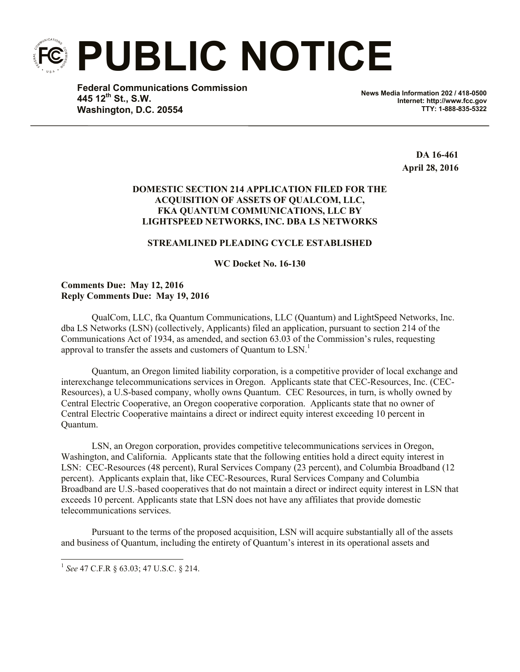**PUBLIC NOTICE**

**Federal Communications Commission 445 12th St., S.W. Washington, D.C. 20554**

**News Media Information 202 / 418-0500 Internet: http://www.fcc.gov TTY: 1-888-835-5322**

> **DA 16-461 April 28, 2016**

# **DOMESTIC SECTION 214 APPLICATION FILED FOR THE ACQUISITION OF ASSETS OF QUALCOM, LLC, FKA QUANTUM COMMUNICATIONS, LLC BY LIGHTSPEED NETWORKS, INC. DBA LS NETWORKS**

# **STREAMLINED PLEADING CYCLE ESTABLISHED**

**WC Docket No. 16-130**

## **Comments Due: May 12, 2016 Reply Comments Due: May 19, 2016**

QualCom, LLC, fka Quantum Communications, LLC (Quantum) and LightSpeed Networks, Inc. dba LS Networks (LSN) (collectively, Applicants) filed an application, pursuant to section 214 of the Communications Act of 1934, as amended, and section 63.03 of the Commission's rules, requesting approval to transfer the assets and customers of Quantum to  $LSN$ .<sup>1</sup>

Quantum, an Oregon limited liability corporation, is a competitive provider of local exchange and interexchange telecommunications services in Oregon. Applicants state that CEC-Resources, Inc. (CEC-Resources), a U.S-based company, wholly owns Quantum. CEC Resources, in turn, is wholly owned by Central Electric Cooperative, an Oregon cooperative corporation. Applicants state that no owner of Central Electric Cooperative maintains a direct or indirect equity interest exceeding 10 percent in Quantum.

LSN, an Oregon corporation, provides competitive telecommunications services in Oregon, Washington, and California. Applicants state that the following entities hold a direct equity interest in LSN: CEC-Resources (48 percent), Rural Services Company (23 percent), and Columbia Broadband (12 percent). Applicants explain that, like CEC-Resources, Rural Services Company and Columbia Broadband are U.S.-based cooperatives that do not maintain a direct or indirect equity interest in LSN that exceeds 10 percent. Applicants state that LSN does not have any affiliates that provide domestic telecommunications services.

Pursuant to the terms of the proposed acquisition, LSN will acquire substantially all of the assets and business of Quantum, including the entirety of Quantum's interest in its operational assets and

 $\overline{\phantom{a}}$ 

<sup>1</sup> *See* 47 C.F.R § 63.03; 47 U.S.C. § 214.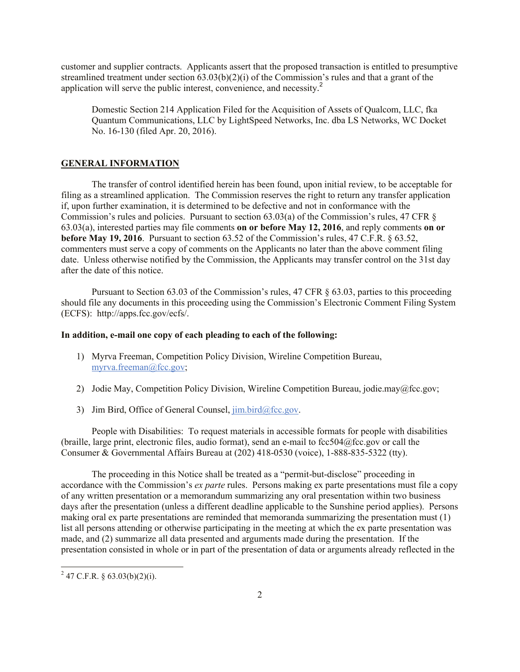customer and supplier contracts. Applicants assert that the proposed transaction is entitled to presumptive streamlined treatment under section  $(63.03(b)(2)(i))$  of the Commission's rules and that a grant of the application will serve the public interest, convenience, and necessity. 2

Domestic Section 214 Application Filed for the Acquisition of Assets of Qualcom, LLC, fka Quantum Communications, LLC by LightSpeed Networks, Inc. dba LS Networks, WC Docket No. 16-130 (filed Apr. 20, 2016).

### **GENERAL INFORMATION**

The transfer of control identified herein has been found, upon initial review, to be acceptable for filing as a streamlined application. The Commission reserves the right to return any transfer application if, upon further examination, it is determined to be defective and not in conformance with the Commission's rules and policies. Pursuant to section 63.03(a) of the Commission's rules, 47 CFR § 63.03(a), interested parties may file comments **on or before May 12, 2016**, and reply comments **on or before May 19, 2016**. Pursuant to section 63.52 of the Commission's rules, 47 C.F.R. § 63.52, commenters must serve a copy of comments on the Applicants no later than the above comment filing date. Unless otherwise notified by the Commission, the Applicants may transfer control on the 31st day after the date of this notice.

Pursuant to Section 63.03 of the Commission's rules, 47 CFR § 63.03, parties to this proceeding should file any documents in this proceeding using the Commission's Electronic Comment Filing System (ECFS): http://apps.fcc.gov/ecfs/.

### **In addition, e-mail one copy of each pleading to each of the following:**

- 1) Myrva Freeman, Competition Policy Division, Wireline Competition Bureau, myrva.freeman@fcc.gov;
- 2) Jodie May, Competition Policy Division, Wireline Competition Bureau, jodie.may@fcc.gov;
- 3) Jim Bird, Office of General Counsel,  $\lim_{h \to 0} \frac{\text{bird}(\partial \text{fcc.gov})}{\text{dot}(\partial \text{fcc.gov})}$ .

People with Disabilities: To request materials in accessible formats for people with disabilities (braille, large print, electronic files, audio format), send an e-mail to fcc504@fcc.gov or call the Consumer & Governmental Affairs Bureau at (202) 418-0530 (voice), 1-888-835-5322 (tty).

The proceeding in this Notice shall be treated as a "permit-but-disclose" proceeding in accordance with the Commission's *ex parte* rules. Persons making ex parte presentations must file a copy of any written presentation or a memorandum summarizing any oral presentation within two business days after the presentation (unless a different deadline applicable to the Sunshine period applies). Persons making oral ex parte presentations are reminded that memoranda summarizing the presentation must (1) list all persons attending or otherwise participating in the meeting at which the ex parte presentation was made, and (2) summarize all data presented and arguments made during the presentation. If the presentation consisted in whole or in part of the presentation of data or arguments already reflected in the

 $\overline{a}$ 

 $^{2}$  47 C.F.R. § 63.03(b)(2)(i).